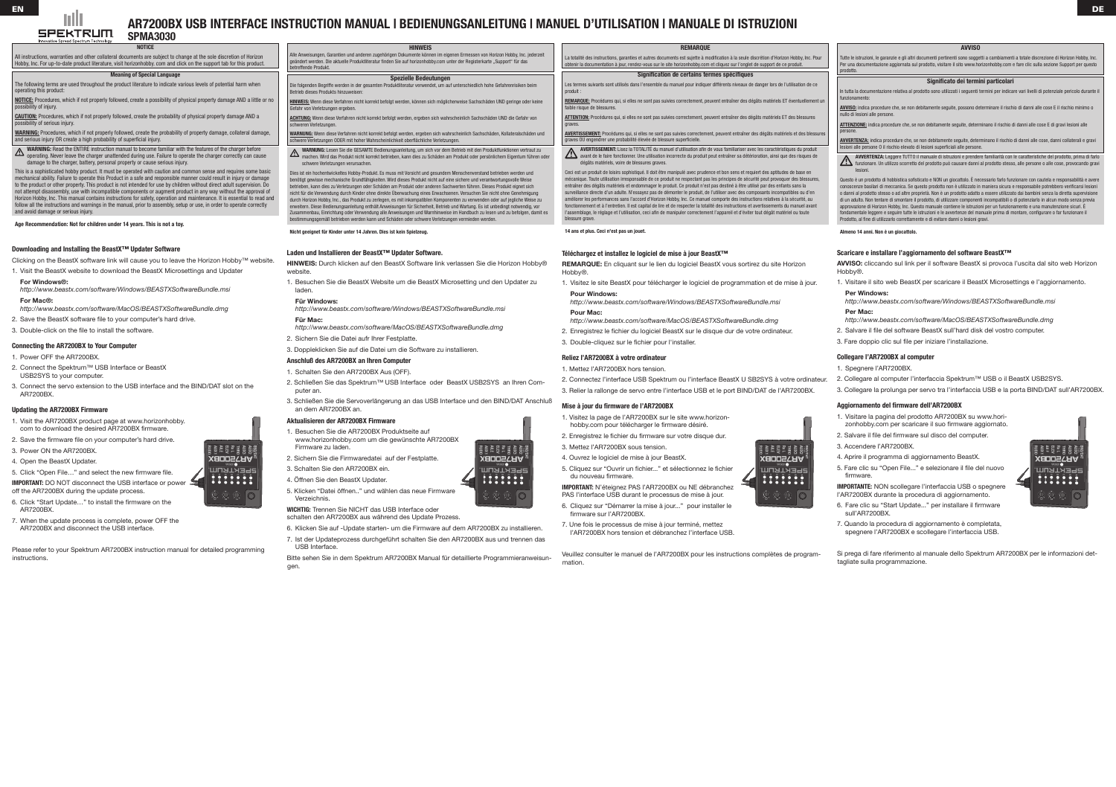**SPEKTRUM** 

All instructions, warranties and other collateral documents are subject to change at the sole discretion of Horizon Hobby, Inc. For up-to-date product literature, visit horizonhobby. com and click on the support tab for this product.

## Meaning of Special Language

The following terms are used throughout the product literature to indicate various levels of potential harm when operating this product:

NOTICE: Procedures, which if not properly followed, create a possibility of physical property damage AND a little or no possibility of injury.

WARNING: Read the ENTIRE instruction manual to become familiar with the features of the charger before operating. Never leave the charger unattended during use. Failure to operate the charger correctly can cause damage to the charger, battery, personal property or cause serious injury.

CAUTION: Procedures, which if not properly followed, create the probability of physical property damage AND a possibility of serious injury.

WARNING: Procedures, which if not properly followed, create the probability of property damage, collateral damage, and serious injury OR create a high probability of superficial injury.

5. Click "Open File…" and select the new firmware file. **IMPORTANT:** DO NOT disconnect the USB interface or power

This is a sophisticated hobby product. It must be operated with caution and common sense and requires some basic mechanical ability. Failure to operate this Product in a safe and responsible manner could result in injury or damage to the product or other property. This product is not intended for use by children without direct adult supervision. Do not attempt disassembly, use with incompatible components or augment product in any way without the approval of Horizon Hobby, Inc. This manual contains instructions for safety, operation and maintenance. It is essential to read and follow all the instructions and warnings in the manual, prior to assembly, setup or use, in order to operate correctly and avoid damage or serious injury.

Age Recommendation: Not for children under 14 years. This is not a toy.

HINWEIS: Wenn diese Verfahren nicht korrekt befolgt werden, können sich möglicherweise Sachschäden UND geringe oder keine Gefahr von Verletzungen ergeben.

## Downloading and Installing the BeastX™ Updater Software

Clicking on the BeastX software link will cause you to leave the Horizon Hobby™ website.

- 1. Visit the BeastX website to download the BeastX Microsettings and Updater
- **For Windows®:**

*http://www.beastx.com/software/Windows/BEASTXSoftwareBundle.msi* **For Mac®:**

*http://www.beastx.com/software/MacOS/BEASTXSoftwareBundle.dmg*

- 2. Save the BeastX software file to your computer's hard drive.
- 3. Double-click on the file to install the software.

## Connecting the AR7200BX to Your Computer

- 1. Power OFF the AR7200BX.
- 2. Connect the Spektrum™ USB Interface or BeastX USB2SYS to your computer.
- 3. Connect the servo extension to the USB interface and the BIND/DAT slot on the AR7200BX.

## Updating the AR7200BX Firmware

- 1. Visit the AR7200BX product page at www.horizonhobby.
- com to download the desired AR7200BX firmware.
- 2. Save the firmware file on your computer's hard drive.
- 3. Power ON the AR7200BX.
- 4. Open the BeastX Updater.

- off the AR7200BX during the update process.
- 6. Click "Start Update…" to install the firmware on the AR7200BX.
- 7. When the update process is complete, power OFF the AR7200BX and disconnect the USB interface.
- 2. Schließen Sie das Spektrum™ USB Interface oder BeastX USB2SYS an Ihren Computer an.
- 3. Schließen Sie die Servoverlängerung an das USB Interface und den BIND/DAT Anschluß an dem AR7200BX an.

Please refer to your Spektrum AR7200BX instruction manual for detailed programming instructions.

HINWEIS

Alle Anweisungen, Garantien und anderen zugehörigen Dokumente können im eigenen Ermessen von Horizon Hobby, Inc. jederzeit geändert werden. Die aktuelle Produktliteratur finden Sie auf horizonhobby.com unter der Registerkarte "Support" für das betreffende Produkt.

Spezielle Bedeutungen Die folgenden Begriffe werden in der gesamten Produktliteratur verwendet, um auf unterschiedlich hohe Gefahrenrisiken beim Betrieb dieses Produkts hinzuweisen:

> REMARQUE: Procédures qui, si elles ne sont pas suivies correctement, peuvent entraîner des dégâts matériels ET éventuellement un faible risque de blessures.

ATTENTION: Procédures qui, si elles ne sont pas suivies correctement, peuvent entraîner des dégâts matériels ET des blessures

ACHTUNG: Wenn diese Verfahren nicht korrekt befolgt werden, ergeben sich wahrscheinlich Sachschäden UND die Gefahr von schweren Verletzungen.

WARNUNG: Wenn diese Verfahren nicht korrekt befolgt werden, ergeben sich wahrscheinlich Sachschäden, Kollateralschäden und schwere Verletzungen ODER mit hoher Wahrscheinlichkeit oberflächliche Verletzungen.

WARNUNG: Lesen Sie die GESAMTE Bedienungsanleitung, um sich vor dem Betrieb mit den Produktfunktionen vertraut zu machen. Wird das Produkt nicht korrekt betrieben, kann dies zu Schäden am Produkt oder persönlichem Eigentum führen oder schwere Verletzungen verursachen.

Dies ist ein hochentwickeltes Hobby-Produkt. Es muss mit Vorsicht und gesundem Menschenverstand betrieben werden und benötigt gewisse mechanische Grundfähigkeiten. Wird dieses Produkt nicht auf eine sichere und verantwortungsvolle Weise betrieben, kann dies zu Verletzungen oder Schäden am Produkt oder anderen Sachwerten führen. Dieses Produkt eignet sich nicht für die Verwendung durch Kinder ohne direkte Überwachung eines Erwachsenen. Versuchen Sie nicht ohne Genehmigung durch Horizon Hobby, Inc., das Produkt zu zerlegen, es mit inkompatiblen Komponenten zu verwenden oder auf jegliche Weise zu erweitern. Diese Bedienungsanleitung enthält Anweisungen für Sicherheit, Betrieb und Wartung. Es ist unbedingt notwendig, vor Zusammenbau, Einrichtung oder Verwendung alle Anweisungen und Warnhinweise im Handbuch zu lesen und zu befolgen, damit es bestimmungsgemäß betrieben werden kann und Schäden oder schwere Verletzungen vermieden werden.

Nicht geeignet für Kinder unter 14 Jahren. Dies ist kein Spielzeug.

In tutta la documentazione relativa al prodotto sono utilizzati i seguenti termini per indicare vari livelli di potenziale pericolo durante il nzionamento

## Laden und Installieren der BeastX™ Updater Software.

**HINWEIS:** Durch klicken auf den BeastX Software link verlassen Sie die Horizon Hobby® website.

1. Besuchen Sie die BeastX Website um die BeastX Microsetting und den Updater zu laden.

ATTENZIONE: indica procedure che, se non debitamente seguite, determinano il rischio di danni alle cose E di gravi lesioni alle persone.

## **Für Windows:**

*http://www.beastx.com/software/Windows/BEASTXSoftwareBundle.msi* **Für Mac:**

AVVERTENZA: indica procedure che, se non debitamente seguite, determinano il rischio di danni alle cose, danni collaterali e gravi lesioni alle persone O il rischio elevato di lesioni superficiali alle persone.

- *http://www.beastx.com/software/MacOS/BEASTXSoftwareBundle.dmg*
- 2. Sichern Sie die Datei aufr Ihrer Festplatte.
- 3. Doppleklicken Sie auf die Datei um die Software zu installieren.

## Anschluß des AR7200BX an Ihren Computer

## 1. Schalten Sie den AR7200BX Aus (OFF).

## Aktualisieren der AR7200BX Firmware

- 1. Besuchen Sie die AR7200BX Produktseite auf www.horizonhobby.com um die gewünschte AR7200BX Firmware zu laden.
- 2. Sichern Sie die Firmwaredatei auf der Festplatte.
- 3. Schalten Sie den AR7200BX ein.
- 4. Öffnen Sie den BeastX Updater.
- 5. Klicken "Datei öffnen.." und wählen das neue Firmware Verzeichnis.

**WICHTIG:** Trennen Sie NICHT das USB Interface oder

- schalten den AR7200BX aus während des Update Prozess. 6. Klicken Sie auf -Update starten- um die Firmware auf dem AR7200BX zu installieren.
- 7. Ist der Updateprozess durchgeführt schalten Sie den AR7200BX aus und trennen das
- USB Interface.

Bitte sehen Sie in dem Spektrum AR7200BX Manual für detaillierte Programmieranweisungen.



### REMARQUE

La totalité des instructions, garanties et autres documents est sujette à modification à la seule discrétion d'Horizon Hobby, Inc. Pour obtenir la documentation à jour, rendez-vous sur le site horizonhobby.com et cliquez sur l'onglet de support de ce produit.

# <u>DE SAN DE SAN DE SAN DE SAN DE SAN DE SAN DE SAN DE SAN DE SAN DE SAN DE SAN DE SAN DE SAN DE SAN DE SAN DE SA</u> **AR7200BX USB Interface Instruction Manual | Bedienungsanleitung | Manuel d'utilisation | Manuale di Istruzioni**

### Signification de certains termes spécifiques

Les termes suivants sont utilisés dans l'ensemble du manuel pour indiquer différents niveaux de danger lors de l'utilisation de ce

produit :

graves.

AVERTISSEMENT: Procédures qui, si elles ne sont pas suivies correctement, peuvent entraîner des dégâts matériels et des blessures graves OU engendrer une probabilité élevée de blessure superficielle.

AVERTISSEMENT: Lisez la TOTALITÉ du manuel d'utilisation afin de vous familiariser avec les caractéristiques du produit avant de le faire fonctionner. Une utilisation incorrecte du produit peut entraîner sa détérioration, ainsi que des risques de dégâts matériels, voire de blessures graves.

Ceci est un produit de loisirs sophistiqué. Il doit être manipulé avec prudence et bon sens et requiert des aptitudes de base en mécanique. Toute utilisation irresponsable de ce produit ne respectant pas les principes de sécurité peut provoquer des blessures, entraîner des dégâts matériels et endommager le produit. Ce produit n'est pas destiné à être utilisé par des enfants sans la surveillance directe d'un adulte. N'essayez pas de démonter le produit, de l'utiliser avec des composants incompatibles ou d'en améliorer les performances sans l'accord d'Horizon Hobby, Inc. Ce manuel comporte des instructions relatives à la sécurité, au fonctionnement et à l'entretien. Il est capital de lire et de respecter la totalité des instructions et avertissements du manuel avant l'assemblage, le réglage et l'utilisation, ceci afin de manipuler correctement l'appareil et d'éviter tout dégât matériel ou toute

blessure grave.

#### 14 ans et plus. Ceci n'est pas un jouet.

## Téléchargez et installez le logiciel de mise à jour BeastX™

**REMARQUE:** En cliquant sur le lien du logiciel BeastX vous sortirez du site Horizon

Hobby®.

1. Visitez le site BeastX pour télécharger le logiciel de programmation et de mise à jour. **Pour Windows:**

*http://www.beastx.com/software/Windows/BEASTXSoftwareBundle.msi* **Pour Mac:**

*http://www.beastx.com/software/MacOS/BEASTXSoftwareBundle.dmg*

2. Enregistrez le fichier du logiciel BeastX sur le disque dur de votre ordinateur. 3. Double-cliquez sur le fichier pour l'installer.

### Reliez l'AR7200BX à votre ordinateur

1. Mettez l'AR7200BX hors tension.

2. Connectez l'interface USB Spektrum ou l'interface BeastX U SB2SYS à votre ordinateur. 3. Relier la rallonge de servo entre l'interface USB et le port BIND/DAT de l'AR7200BX.

## Mise à jour du firmware de l'AR7200BX

1. Visitez la page de l'AR7200BX sur le site www.horizonhobby.com pour télécharger le firmware désiré.

- 2. Enregistrez le fichier du firmware sur votre disque dur.
- 3. Mettez l'AR7200BX sous tension.
- 4. Ouvrez le logiciel de mise à jour BeastX.
- 5. Cliquez sur "Ouvrir un fichier..." et sélectionnez le fichier du nouveau firmware.
- **IMPORTANT:** N'éteignez PAS l'AR7200BX ou NE débranchez PAS l'interface USB durant le processus de mise à jour.
- 6. Cliquez sur "Démarrer la mise à jour..." pour installer le firmware sur l'AR7200BX.
- 7. Une fois le processus de mise à jour terminé, mettez l'AR7200BX hors tension et débranchez l'interface USB.

Veuillez consulter le manuel de l'AR7200BX pour les instructions complètes de program-

mation.







#### AVVISO

Tutte le istruzioni, le garanzie e gli altri documenti pertinenti sono soggetti a cambiamenti a totale discrezione di Horizon Hobby, Inc. Per una documentazione aggiornata sul prodotto, visitare il sito www.horizonhobby.com e fare clic sulla sezione Support per questo prodotto.

### Significato dei termini particolari

AVVISO: indica procedure che, se non debitamente seguite, possono determinare il rischio di danni alle cose E il rischio minimo o nullo di lesioni alle persone.

AVVERTENZA: Leggere TUTTO il manuale di istruzioni e prendere familiarità con le caratteristiche del prodotto, prima di farlo funzionare. Un utilizzo scorretto del prodotto può causare danni al prodotto stesso, alle persone o alle cose, provocando gravi lesioni.

Questo è un prodotto di hobbistica sofisticato e NON un giocattolo. È necessario farlo funzionare con cautela e responsabilità e avere conoscenze basilari di meccanica. Se questo prodotto non è utilizzato in maniera sicura e responsabile potrebbero verificarsi lesioni o danni al prodotto stesso o ad altre proprietà. Non è un prodotto adatto a essere utilizzato dai bambini senza la diretta supervisione di un adulto. Non tentare di smontare il prodotto, di utilizzare componenti incompatibili o di potenziarlo in alcun modo senza previa approvazione di Horizon Hobby, Inc. Questo manuale contiene le istruzioni per un funzionamento e una manutenzione sicuri. È fondamentale leggere e seguire tutte le istruzioni e le avvertenze del manuale prima di montare, configurare o far funzionare il Prodotto, al fine di utilizzarlo correttamente e di evitare danni o lesioni gravi.

Almeno 14 anni. Non è un giocattolo.

#### Scaricare e installare l'aggiornamento del software BeastX™

**AVVISO:** cliccando sul link per il software BeastX si provoca l'uscita dal sito web Horizon Hobby®.

- 1. Visitare il sito web BeastX per scaricare il BeastX Microsettings e l'aggiornamento. **Per Windows:**
- *http://www.beastx.com/software/Windows/BEASTXSoftwareBundle.msi* **Per Mac:**
- *http://www.beastx.com/software/MacOS/BEASTXSoftwareBundle.dmg*
- 2. Salvare il file del software BeastX sull'hard disk del vostro computer.
- 3. Fare doppio clic sul file per iniziare l'installazione.

## Collegare l'AR7200BX al computer

- 1. Spegnere l'AR7200BX.
- 2. Collegare al computer l'interfaccia Spektrum™ USB o il BeastX USB2SYS.
- 3. Collegare la prolunga per servo tra l'interfaccia USB e la porta BIND/DAT sull'AR7200BX.

## Aggiornamento del firmware dell'AR7200BX

- 1. Visitare la pagina del prodotto AR7200BX su www.horizonhobby.com per scaricare il suo firmware aggiornato.
- 2. Salvare il file del firmware sul disco del computer.
- 3. Accendere l'AR7200BX.
- 4. Aprire il programma di aggiornamento BeastX.
- 5. Fare clic su "Open File..." e selezionare il file del nuovo firmware.

**IMPORTANTE:** NON scollegare l'interfaccia USB o spegnere l'AR7200BX durante la procedura di aggiornamento.

- 6. Fare clic su "Start Update..." per installare il firmware sull'AR7200BX.
- 7. Quando la procedura di aggiornamento è completata, spegnere l'AR7200BX e scollegare l'interfaccia USB.

Si prega di fare riferimento al manuale dello Spektrum AR7200BX per le informazioni dettagliate sulla programmazione.







**SPMA3030**

**NOTICE**